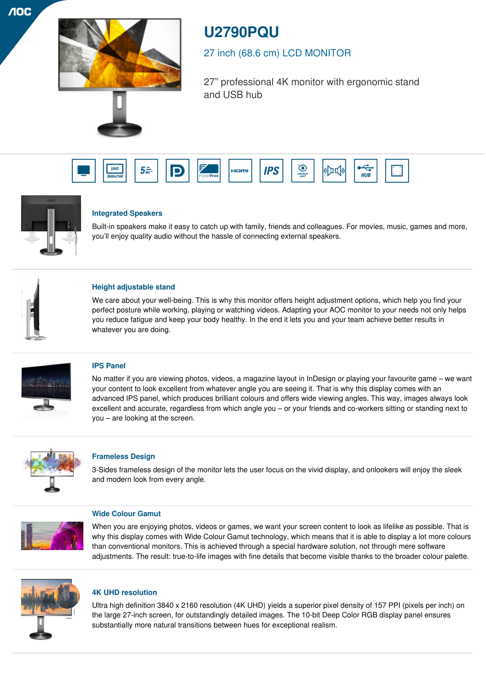$\overline{A}$ OC



# **U2790PQU**

## 27 inch (68.6 cm) LCD MONITOR

27" professional 4K monitor with ergonomic stand and USB hub





## **Integrated Speakers**

Built-in speakers make it easy to catch up with family, friends and colleagues. For movies, music, games and more, you'll enjoy quality audio without the hassle of connecting external speakers.



## **Height adjustable stand**

We care about your well-being. This is why this monitor offers height adjustment options, which help you find your perfect posture while working, playing or watching videos. Adapting your AOC monitor to your needs not only helps you reduce fatigue and keep your body healthy. In the end it lets you and your team achieve better results in whatever you are doing.



## **IPS Panel**

No matter if you are viewing photos, videos, a magazine layout in InDesign or playing your favourite game – we want your content to look excellent from whatever angle you are seeing it. That is why this display comes with an advanced IPS panel, which produces brilliant colours and offers wide viewing angles. This way, images always look excellent and accurate, regardless from which angle you – or your friends and co-workers sitting or standing next to you – are looking at the screen.



## **Frameless Design**

3-Sides frameless design of the monitor lets the user focus on the vivid display, and onlookers will enjoy the sleek and modern look from every angle.



### **Wide Colour Gamut**

When you are enjoying photos, videos or games, we want your screen content to look as lifelike as possible. That is why this display comes with Wide Colour Gamut technology, which means that it is able to display a lot more colours than conventional monitors. This is achieved through a special hardware solution, not through mere software adjustments. The result: true-to-life images with fine details that become visible thanks to the broader colour palette.



## **4K UHD resolution**

Ultra high definition 3840 x 2160 resolution (4K UHD) yields a superior pixel density of 157 PPI (pixels per inch) on the large 27-inch screen, for outstandingly detailed images. The 10-bit Deep Color RGB display panel ensures substantially more natural transitions between hues for exceptional realism.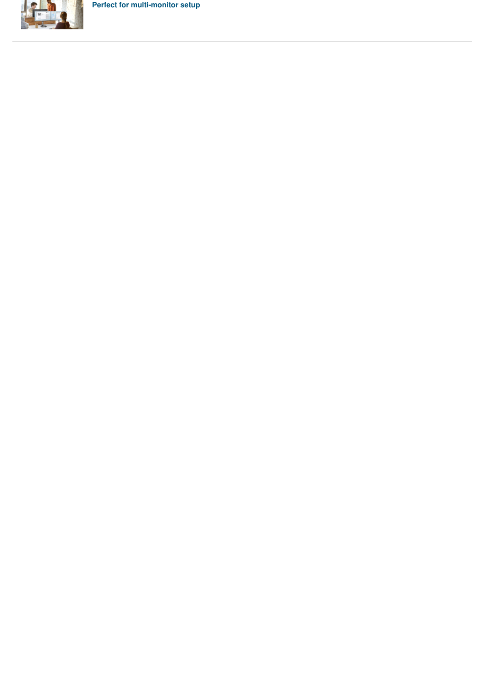**Perfect for multi-monitor setup**